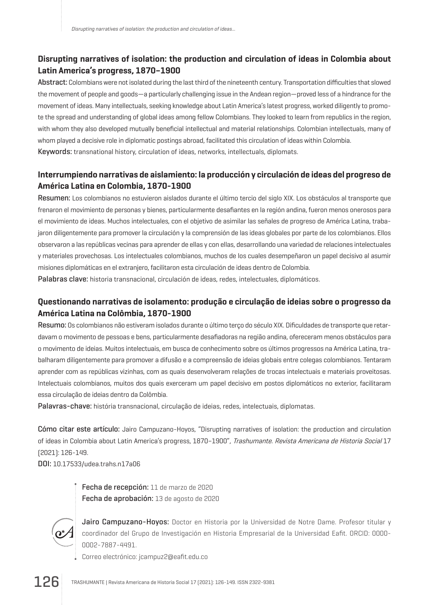# **Disrupting narratives of isolation: the production and circulation of ideas in Colombia about Latin America's progress, 1870–1900**

Abstract: Colombians were not isolated during the last third of the nineteenth century. Transportation difficulties that slowed the movement of people and goods—a particularly challenging issue in the Andean region—proved less of a hindrance for the movement of ideas. Many intellectuals, seeking knowledge about Latin America's latest progress, worked diligently to promote the spread and understanding of global ideas among fellow Colombians. They looked to learn from republics in the region, with whom they also developed mutually beneficial intellectual and material relationships. Colombian intellectuals, many of whom played a decisive role in diplomatic postings abroad, facilitated this circulation of ideas within Colombia. Keywords: transnational history, circulation of ideas, networks, intellectuals, diplomats.

#### **Interrumpiendo narrativas de aislamiento: la producción y circulación de ideas del progreso de América Latina en Colombia, 1870-1900**

Resumen: Los colombianos no estuvieron aislados durante el último tercio del siglo XIX. Los obstáculos al transporte que frenaron el movimiento de personas y bienes, particularmente desafiantes en la región andina, fueron menos onerosos para el movimiento de ideas. Muchos intelectuales, con el objetivo de asimilar las señales de progreso de América Latina, trabajaron diligentemente para promover la circulación y la comprensión de las ideas globales por parte de los colombianos. Ellos observaron a las repúblicas vecinas para aprender de ellas y con ellas, desarrollando una variedad de relaciones intelectuales y materiales provechosas. Los intelectuales colombianos, muchos de los cuales desempeñaron un papel decisivo al asumir misiones diplomáticas en el extranjero, facilitaron esta circulación de ideas dentro de Colombia.

Palabras clave: historia transnacional, circulación de ideas, redes, intelectuales, diplomáticos.

## **Questionando narrativas de isolamento: produção e circulação de ideias sobre o progresso da América Latina na Colômbia, 1870-1900**

Resumo: Os colombianos não estiveram isolados durante o último terço do século XIX. Dificuldades de transporte que retardavam o movimento de pessoas e bens, particularmente desafiadoras na região andina, ofereceram menos obstáculos para o movimento de ideias. Muitos intelectuais, em busca de conhecimento sobre os últimos progressos na América Latina, trabalharam diligentemente para promover a difusão e a compreensão de ideias globais entre colegas colombianos. Tentaram aprender com as repúblicas vizinhas, com as quais desenvolveram relações de trocas intelectuais e materiais proveitosas. Intelectuais colombianos, muitos dos quais exerceram um papel decisivo em postos diplomáticos no exterior, facilitaram essa circulação de ideias dentro da Colômbia.

Palavras-chave: história transnacional, circulação de ideias, redes, intelectuais, diplomatas.

Cómo citar este artículo: Jairo Campuzano-Hoyos, "Disrupting narratives of isolation: the production and circulation of ideas in Colombia about Latin America's progress, 1870-1900", Trashumante. Revista Americana de Historia Social 17 (2021): 126-149.

DOI: [10.17533/udea.trahs.n17a06](https://doi.org/10.17533/udea.trahs.n17a06)

Fecha de recepción: 11 de marzo de 2020 Fecha de aprobación: 13 de agosto de 2020



Jairo Campuzano-Hoyos: Doctor en Historia por la Universidad de Notre Dame. Profesor titular y coordinador del Grupo de Investigación en Historia Empresarial de la Universidad Eafit. ORCID: [0000-](https://orcid.org/0000-0002-7887-4491) [0002-7887-4491](https://orcid.org/0000-0002-7887-4491).

Correo electrónico: jcampuz2@eafit.edu.co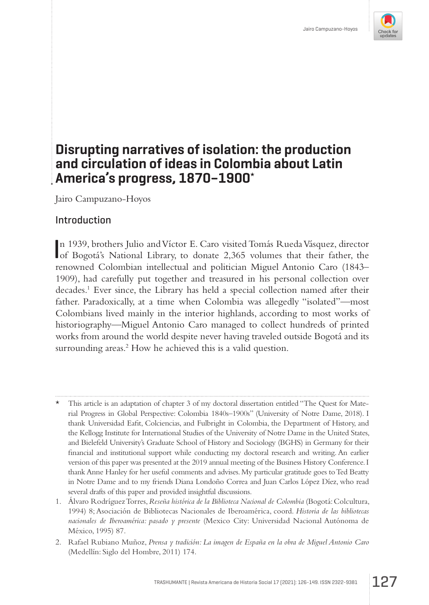

# **Disrupting narratives of isolation: the production and circulation of ideas in Colombia about Latin America's progress, 1870–1900\***

Jairo Campuzano-Hoyos

# Introduction

In 1939, brothers Julio and Víctor E. Caro visited Tomás Rueda Vásquez, director of Bogotá's National Library, to donate 2,365 volumes that their father, the n 1939, brothers Julio and Víctor E. Caro visited Tomás Rueda Vásquez, director renowned Colombian intellectual and politician Miguel Antonio Caro (1843– 1909), had carefully put together and treasured in his personal collection over decades.1 Ever since, the Library has held a special collection named after their father. Paradoxically, at a time when Colombia was allegedly "isolated"—most Colombians lived mainly in the interior highlands, according to most works of historiography—Miguel Antonio Caro managed to collect hundreds of printed works from around the world despite never having traveled outside Bogotá and its surrounding areas.<sup>2</sup> How he achieved this is a valid question.

This article is an adaptation of chapter 3 of my doctoral dissertation entitled "The Quest for Material Progress in Global Perspective: Colombia 1840s–1900s" (University of Notre Dame, 2018). I thank Universidad Eafit, Colciencias, and Fulbright in Colombia, the Department of History, and the Kellogg Institute for International Studies of the University of Notre Dame in the United States, and Bielefeld University's Graduate School of History and Sociology (BGHS) in Germany for their financial and institutional support while conducting my doctoral research and writing. An earlier version of this paper was presented at the 2019 annual meeting of the Business History Conference. I thank Anne Hanley for her useful comments and advises. My particular gratitude goes to Ted Beatty in Notre Dame and to my friends Diana Londoño Correa and Juan Carlos López Díez, who read several drafts of this paper and provided insightful discussions.

<sup>1.</sup> Álvaro Rodríguez Torres, *Reseña histórica de la Biblioteca Nacional de Colombia* (Bogotá: Colcultura, 1994) 8; Asociación de Bibliotecas Nacionales de Iberoamérica, coord. *Historia de las bibliotecas nacionales de Iberoamérica: pasado y presente* (Mexico City: Universidad Nacional Autónoma de México, 1995) 87.

<sup>2.</sup> Rafael Rubiano Muñoz, *Prensa y tradición: La imagen de España en la obra de Miguel Antonio Caro* (Medellín: Siglo del Hombre, 2011) 174.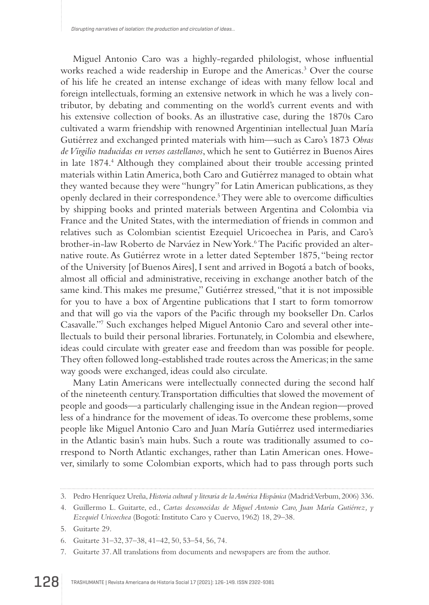Miguel Antonio Caro was a highly-regarded philologist, whose influential works reached a wide readership in Europe and the Americas.<sup>3</sup> Over the course of his life he created an intense exchange of ideas with many fellow local and foreign intellectuals, forming an extensive network in which he was a lively contributor, by debating and commenting on the world's current events and with his extensive collection of books. As an illustrative case, during the 1870s Caro cultivated a warm friendship with renowned Argentinian intellectual Juan María Gutiérrez and exchanged printed materials with him—such as Caro's 1873 *Obras de Virgilio traducidas en versos castellanos*, which he sent to Gutiérrez in Buenos Aires in late 1874.<sup>4</sup> Although they complained about their trouble accessing printed materials within Latin America, both Caro and Gutiérrez managed to obtain what they wanted because they were "hungry" for Latin American publications, as they openly declared in their correspondence.<sup>5</sup> They were able to overcome difficulties by shipping books and printed materials between Argentina and Colombia via France and the United States, with the intermediation of friends in common and relatives such as Colombian scientist Ezequiel Uricoechea in Paris, and Caro's brother-in-law Roberto de Narváez in New York.<sup>6</sup> The Pacific provided an alternative route. As Gutiérrez wrote in a letter dated September 1875, "being rector of the University [of Buenos Aires], I sent and arrived in Bogotá a batch of books, almost all official and administrative, receiving in exchange another batch of the same kind. This makes me presume," Gutiérrez stressed, "that it is not impossible for you to have a box of Argentine publications that I start to form tomorrow and that will go via the vapors of the Pacific through my bookseller Dn. Carlos Casavalle."7 Such exchanges helped Miguel Antonio Caro and several other intellectuals to build their personal libraries. Fortunately, in Colombia and elsewhere, ideas could circulate with greater ease and freedom than was possible for people. They often followed long-established trade routes across the Americas; in the same way goods were exchanged, ideas could also circulate.

Many Latin Americans were intellectually connected during the second half of the nineteenth century. Transportation difficulties that slowed the movement of people and goods—a particularly challenging issue in the Andean region—proved less of a hindrance for the movement of ideas. To overcome these problems, some people like Miguel Antonio Caro and Juan María Gutiérrez used intermediaries in the Atlantic basin's main hubs. Such a route was traditionally assumed to correspond to North Atlantic exchanges, rather than Latin American ones. However, similarly to some Colombian exports, which had to pass through ports such

<sup>3.</sup> Pedro Henríquez Ureña, *Historia cultural y literaria de la América Hispánica* (Madrid: Verbum, 2006) 336.

<sup>4.</sup> Guillermo L. Guitarte, ed., *Cartas desconocidas de Miguel Antonio Caro, Juan María Gutiérrez, y Ezequiel Uricoechea* (Bogotá: Instituto Caro y Cuervo, 1962) 18, 29–38.

<sup>5.</sup> Guitarte 29.

<sup>6.</sup> Guitarte 31–32, 37–38, 41–42, 50, 53–54, 56, 74.

<sup>7.</sup> Guitarte 37. All translations from documents and newspapers are from the author.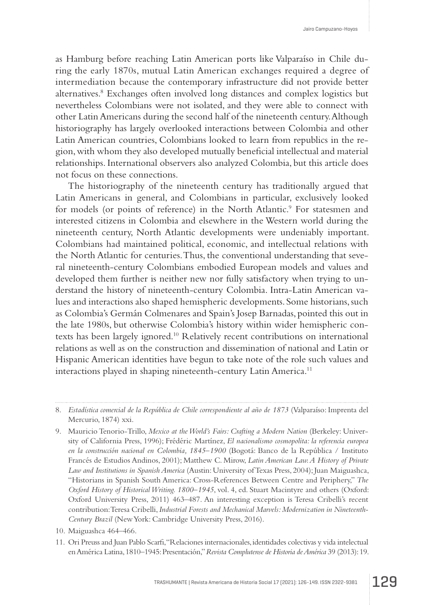as Hamburg before reaching Latin American ports like Valparaíso in Chile during the early 1870s, mutual Latin American exchanges required a degree of intermediation because the contemporary infrastructure did not provide better alternatives.8 Exchanges often involved long distances and complex logistics but nevertheless Colombians were not isolated, and they were able to connect with other Latin Americans during the second half of the nineteenth century. Although historiography has largely overlooked interactions between Colombia and other Latin American countries, Colombians looked to learn from republics in the region, with whom they also developed mutually beneficial intellectual and material relationships. International observers also analyzed Colombia, but this article does not focus on these connections.

The historiography of the nineteenth century has traditionally argued that Latin Americans in general, and Colombians in particular, exclusively looked for models (or points of reference) in the North Atlantic.<sup>9</sup> For statesmen and interested citizens in Colombia and elsewhere in the Western world during the nineteenth century, North Atlantic developments were undeniably important. Colombians had maintained political, economic, and intellectual relations with the North Atlantic for centuries. Thus, the conventional understanding that several nineteenth-century Colombians embodied European models and values and developed them further is neither new nor fully satisfactory when trying to understand the history of nineteenth-century Colombia. Intra-Latin American values and interactions also shaped hemispheric developments. Some historians, such as Colombia's Germán Colmenares and Spain's Josep Barnadas, pointed this out in the late 1980s, but otherwise Colombia's history within wider hemispheric contexts has been largely ignored.10 Relatively recent contributions on international relations as well as on the construction and dissemination of national and Latin or Hispanic American identities have begun to take note of the role such values and interactions played in shaping nineteenth-century Latin America.<sup>11</sup>

- 10. Maiguashca 464–466.
- 11. Ori Preuss and Juan Pablo Scarfi, "Relaciones internacionales, identidades colectivas y vida intelectual en América Latina, 1810–1945: Presentación," *Revista Complutense de Historia de América* 39 (2013): 19.

<sup>8.</sup> *Estadística comercial de la República de Chile correspondiente al año de 1873* (Valparaíso: Imprenta del Mercurio, 1874) xxi.

<sup>9.</sup> Mauricio Tenorio-Trillo, *Mexico at the World's Fairs: Crafting a Modern Nation* (Berkeley: University of California Press, 1996); Frédéric Martínez, *El nacionalismo cosmopolita: la referencia europea en la construcción nacional en Colombia, 1845–1900* (Bogotá: Banco de la República / Instituto Francés de Estudios Andinos, 2001); Matthew C. Mirow, *Latin American Law. A History of Private Law and Institutions in Spanish America* (Austin: University of Texas Press, 2004); Juan Maiguashca, "Historians in Spanish South America: Cross-References Between Centre and Periphery," *The Oxford History of Historical Writing. 1800–1945*, vol. 4, ed. Stuart Macintyre and others (Oxford: Oxford University Press, 2011) 463–487. An interesting exception is Teresa Cribelli's recent contribution: Teresa Cribelli, *Industrial Forests and Mechanical Marvels: Modernization in Nineteenth-Century Brazil* (New York: Cambridge University Press, 2016).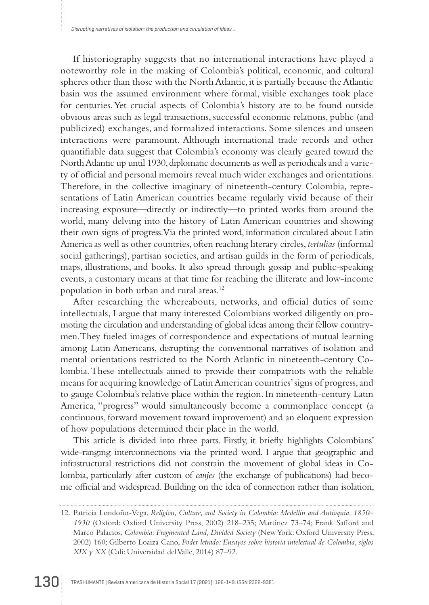If historiography suggests that no international interactions have played a noteworthy role in the making of Colombia's political, economic, and cultural spheres other than those with the North Atlantic, it is partially because the Atlantic basin was the assumed environment where formal, visible exchanges took place for centuries. Yet crucial aspects of Colombia's history are to be found outside obvious areas such as legal transactions, successful economic relations, public (and publicized) exchanges, and formalized interactions. Some silences and unseen interactions were paramount. Although international trade records and other quantifiable data suggest that Colombia's economy was clearly geared toward the North Atlantic up until 1930, diplomatic documents as well as periodicals and a variety of official and personal memoirs reveal much wider exchanges and orientations. Therefore, in the collective imaginary of nineteenth-century Colombia, representations of Latin American countries became regularly vivid because of their increasing exposure—directly or indirectly—to printed works from around the world, many delving into the history of Latin American countries and showing their own signs of progress. Via the printed word, information circulated about Latin America as well as other countries, often reaching literary circles, *tertulias* (informal social gatherings), partisan societies, and artisan guilds in the form of periodicals, maps, illustrations, and books. It also spread through gossip and public-speaking events, a customary means at that time for reaching the illiterate and low-income population in both urban and rural areas.12

After researching the whereabouts, networks, and official duties of some intellectuals, I argue that many interested Colombians worked diligently on promoting the circulation and understanding of global ideas among their fellow countrymen. They fueled images of correspondence and expectations of mutual learning among Latin Americans, disrupting the conventional narratives of isolation and mental orientations restricted to the North Atlantic in nineteenth-century Colombia. These intellectuals aimed to provide their compatriots with the reliable means for acquiring knowledge of Latin American countries' signs of progress, and to gauge Colombia's relative place within the region. In nineteenth-century Latin America, "progress" would simultaneously become a commonplace concept (a continuous, forward movement toward improvement) and an eloquent expression of how populations determined their place in the world.

This article is divided into three parts. Firstly, it briefly highlights Colombians' wide-ranging interconnections via the printed word. I argue that geographic and infrastructural restrictions did not constrain the movement of global ideas in Colombia, particularly after custom of *canjes* (the exchange of publications) had become official and widespread. Building on the idea of connection rather than isolation,

<sup>12.</sup> Patricia Londoño-Vega, *Religion, Culture, and Society in Colombia: Medellín and Antioquia, 1850– 1930* (Oxford: Oxford University Press, 2002) 218–235; Martínez 73–74; Frank Safford and Marco Palacios, *Colombia: Fragmented Land, Divided Society* (New York: Oxford University Press, 2002) 160; Gilberto Loaiza Cano, *Poder letrado: Ensayos sobre historia intelectual de Colombia, siglos XIX y XX* (Cali: Universidad del Valle, 2014) 87–92.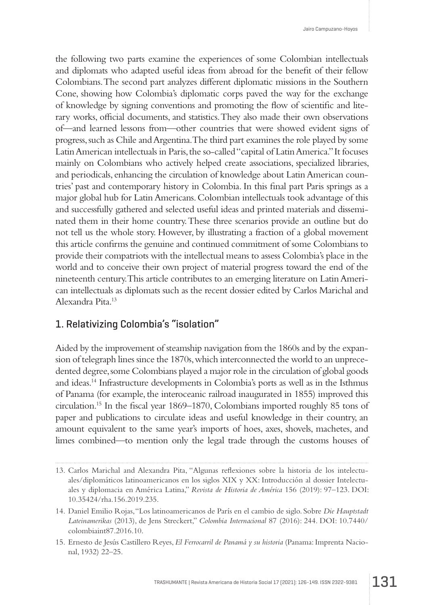the following two parts examine the experiences of some Colombian intellectuals and diplomats who adapted useful ideas from abroad for the benefit of their fellow Colombians. The second part analyzes different diplomatic missions in the Southern Cone, showing how Colombia's diplomatic corps paved the way for the exchange of knowledge by signing conventions and promoting the flow of scientific and literary works, official documents, and statistics. They also made their own observations of—and learned lessons from—other countries that were showed evident signs of progress, such as Chile and Argentina. The third part examines the role played by some Latin American intellectuals in Paris, the so-called "capital of Latin America." It focuses mainly on Colombians who actively helped create associations, specialized libraries, and periodicals, enhancing the circulation of knowledge about Latin American countries' past and contemporary history in Colombia. In this final part Paris springs as a major global hub for Latin Americans. Colombian intellectuals took advantage of this and successfully gathered and selected useful ideas and printed materials and disseminated them in their home country. These three scenarios provide an outline but do not tell us the whole story. However, by illustrating a fraction of a global movement this article confirms the genuine and continued commitment of some Colombians to provide their compatriots with the intellectual means to assess Colombia's place in the world and to conceive their own project of material progress toward the end of the nineteenth century. This article contributes to an emerging literature on Latin American intellectuals as diplomats such as the recent dossier edited by Carlos Marichal and Alexandra Pita.13

# 1. Relativizing Colombia's "isolation"

Aided by the improvement of steamship navigation from the 1860s and by the expansion of telegraph lines since the 1870s, which interconnected the world to an unprecedented degree, some Colombians played a major role in the circulation of global goods and ideas.14 Infrastructure developments in Colombia's ports as well as in the Isthmus of Panama (for example, the interoceanic railroad inaugurated in 1855) improved this circulation.15 In the fiscal year 1869–1870, Colombians imported roughly 85 tons of paper and publications to circulate ideas and useful knowledge in their country, an amount equivalent to the same year's imports of hoes, axes, shovels, machetes, and limes combined—to mention only the legal trade through the customs houses of

<sup>13.</sup> Carlos Marichal and Alexandra Pita, "Algunas reflexiones sobre la historia de los intelectuales/diplomáticos latinoamericanos en los siglos XIX y XX: Introducción al dossier Intelectuales y diplomacia en América Latina," *Revista de Historia de América* 156 (2019): 97–123. DOI: [10.35424/rha.156.2019.235](https://doi.org/10.35424/rha.156.2019.235).

<sup>14.</sup> Daniel Emilio Rojas, "Los latinoamericanos de París en el cambio de siglo. Sobre *Die Hauptstadt Lateinamerikas* (2013), de Jens Streckert," *Colombia Internacional* 87 (2016): 244. DOI: [10.7440/](http://dx.doi.org/10.7440/colombiaint87.2016.10) [colombiaint87.2016.10](http://dx.doi.org/10.7440/colombiaint87.2016.10).

<sup>15.</sup> Ernesto de Jesús Castillero Reyes, *El Ferrocarril de Panamá y su historia* (Panama: Imprenta Nacional, 1932) 22–25.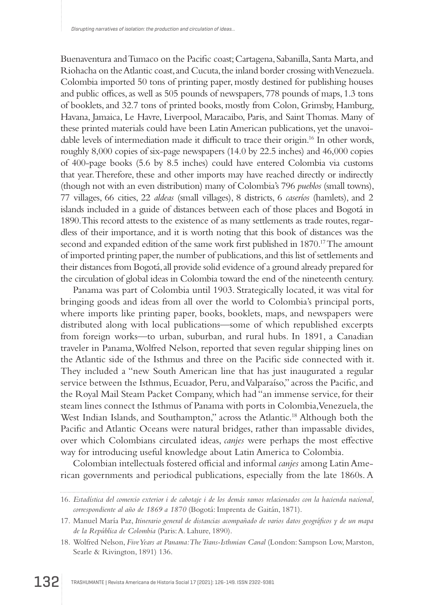Buenaventura and Tumaco on the Pacific coast; Cartagena, Sabanilla, Santa Marta, and Riohacha on the Atlantic coast, and Cucuta, the inland border crossing with Venezuela. Colombia imported 50 tons of printing paper, mostly destined for publishing houses and public offices, as well as 505 pounds of newspapers, 778 pounds of maps, 1.3 tons of booklets, and 32.7 tons of printed books, mostly from Colon, Grimsby, Hamburg, Havana, Jamaica, Le Havre, Liverpool, Maracaibo, Paris, and Saint Thomas. Many of these printed materials could have been Latin American publications, yet the unavoidable levels of intermediation made it difficult to trace their origin.<sup>16</sup> In other words, roughly 8,000 copies of six-page newspapers (14.0 by 22.5 inches) and 46,000 copies of 400-page books (5.6 by 8.5 inches) could have entered Colombia via customs that year. Therefore, these and other imports may have reached directly or indirectly (though not with an even distribution) many of Colombia's 796 *pueblos* (small towns), 77 villages, 66 cities, 22 *aldeas* (small villages), 8 districts, 6 *caseríos* (hamlets), and 2 islands included in a guide of distances between each of those places and Bogotá in 1890. This record attests to the existence of as many settlements as trade routes, regardless of their importance, and it is worth noting that this book of distances was the second and expanded edition of the same work first published in 1870.<sup>17</sup> The amount of imported printing paper, the number of publications, and this list of settlements and their distances from Bogotá, all provide solid evidence of a ground already prepared for the circulation of global ideas in Colombia toward the end of the nineteenth century.

Panama was part of Colombia until 1903. Strategically located, it was vital for bringing goods and ideas from all over the world to Colombia's principal ports, where imports like printing paper, books, booklets, maps, and newspapers were distributed along with local publications—some of which republished excerpts from foreign works—to urban, suburban, and rural hubs. In 1891, a Canadian traveler in Panama, Wolfred Nelson, reported that seven regular shipping lines on the Atlantic side of the Isthmus and three on the Pacific side connected with it. They included a "new South American line that has just inaugurated a regular service between the Isthmus, Ecuador, Peru, and Valparaíso," across the Pacific, and the Royal Mail Steam Packet Company, which had "an immense service, for their steam lines connect the Isthmus of Panama with ports in Colombia, Venezuela, the West Indian Islands, and Southampton," across the Atlantic.<sup>18</sup> Although both the Pacific and Atlantic Oceans were natural bridges, rather than impassable divides, over which Colombians circulated ideas, *canjes* were perhaps the most effective way for introducing useful knowledge about Latin America to Colombia.

Colombian intellectuals fostered official and informal *canjes* among Latin American governments and periodical publications, especially from the late 1860s. A

<sup>16.</sup> *Estadística del comercio exterior i de cabotaje i de los demás ramos relacionados con la hacienda nacional, correspondiente al año de 1869 a 1870* (Bogotá: Imprenta de Gaitán, 1871).

<sup>17.</sup> Manuel María Paz, *Itinerario general de distancias acompañado de varios datos geográficos y de un mapa de la República de Colombia* (Paris: A. Lahure, 1890).

<sup>18.</sup> Wolfred Nelson, *Five Years at Panama: The Trans-Isthmian Canal* (London: Sampson Low, Marston, Searle & Rivington, 1891) 136.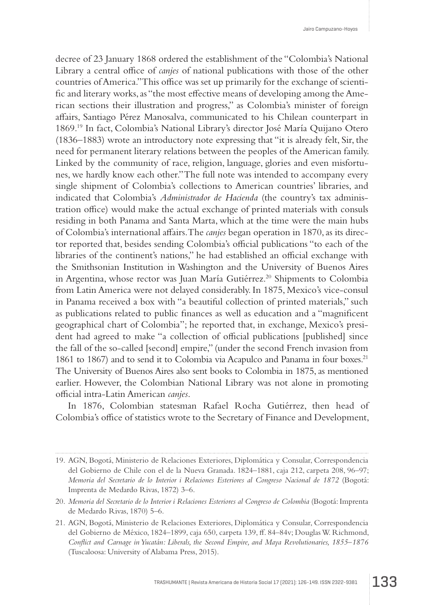decree of 23 January 1868 ordered the establishment of the "Colombia's National Library a central office of *canjes* of national publications with those of the other countries of America." This office was set up primarily for the exchange of scientific and literary works, as "the most effective means of developing among the American sections their illustration and progress," as Colombia's minister of foreign affairs, Santiago Pérez Manosalva, communicated to his Chilean counterpart in 1869.19 In fact, Colombia's National Library's director José María Quijano Otero (1836–1883) wrote an introductory note expressing that "it is already felt, Sir, the need for permanent literary relations between the peoples of the American family. Linked by the community of race, religion, language, glories and even misfortunes, we hardly know each other." The full note was intended to accompany every single shipment of Colombia's collections to American countries' libraries, and indicated that Colombia's *Administrador de Hacienda* (the country's tax administration office) would make the actual exchange of printed materials with consuls residing in both Panama and Santa Marta, which at the time were the main hubs of Colombia's international affairs. The *canjes* began operation in 1870, as its director reported that, besides sending Colombia's official publications "to each of the libraries of the continent's nations," he had established an official exchange with the Smithsonian Institution in Washington and the University of Buenos Aires in Argentina, whose rector was Juan María Gutiérrez.<sup>20</sup> Shipments to Colombia from Latin America were not delayed considerably. In 1875, Mexico's vice-consul in Panama received a box with "a beautiful collection of printed materials," such as publications related to public finances as well as education and a "magnificent geographical chart of Colombia"; he reported that, in exchange, Mexico's president had agreed to make "a collection of official publications [published] since the fall of the so-called [second] empire," (under the second French invasion from 1861 to 1867) and to send it to Colombia via Acapulco and Panama in four boxes.<sup>21</sup> The University of Buenos Aires also sent books to Colombia in 1875, as mentioned earlier. However, the Colombian National Library was not alone in promoting official intra-Latin American *canjes*.

In 1876, Colombian statesman Rafael Rocha Gutiérrez, then head of Colombia's office of statistics wrote to the Secretary of Finance and Development,

<sup>19.</sup> AGN, Bogotá, Ministerio de Relaciones Exteriores, Diplomática y Consular, Correspondencia del Gobierno de Chile con el de la Nueva Granada. 1824–1881, caja 212, carpeta 208, 96–97; *Memoria del Secretario de lo Interior i Relaciones Esteriores al Congreso Nacional de 1872* (Bogotá: Imprenta de Medardo Rivas, 1872) 3–6.

<sup>20.</sup> *Memoria del Secretario de lo Interior i Relaciones Esteriores al Congreso de Colombia* (Bogotá: Imprenta de Medardo Rivas, 1870) 5–6.

<sup>21.</sup> AGN, Bogotá, Ministerio de Relaciones Exteriores, Diplomática y Consular, Correspondencia del Gobierno de México, 1824–1899, caja 650, carpeta 139, ff. 84–84v; Douglas W. Richmond, *Conflict and Carnage in Yucatán: Liberals, the Second Empire, and Maya Revolutionaries, 1855–1876* (Tuscaloosa: University of Alabama Press, 2015).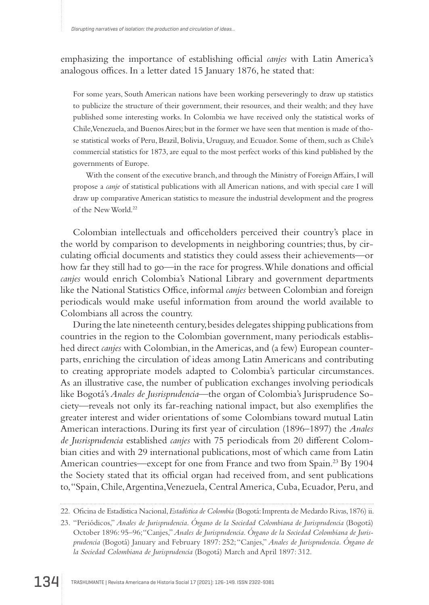emphasizing the importance of establishing official *canjes* with Latin America's analogous offices. In a letter dated 15 January 1876, he stated that:

For some years, South American nations have been working perseveringly to draw up statistics to publicize the structure of their government, their resources, and their wealth; and they have published some interesting works. In Colombia we have received only the statistical works of Chile, Venezuela, and Buenos Aires; but in the former we have seen that mention is made of those statistical works of Peru, Brazil, Bolivia, Uruguay, and Ecuador. Some of them, such as Chile's commercial statistics for 1873, are equal to the most perfect works of this kind published by the governments of Europe.

With the consent of the executive branch, and through the Ministry of Foreign Affairs, I will propose a *canje* of statistical publications with all American nations, and with special care I will draw up comparative American statistics to measure the industrial development and the progress of the New World.22

Colombian intellectuals and officeholders perceived their country's place in the world by comparison to developments in neighboring countries; thus, by circulating official documents and statistics they could assess their achievements—or how far they still had to go—in the race for progress. While donations and official *canjes* would enrich Colombia's National Library and government departments like the National Statistics Office, informal *canjes* between Colombian and foreign periodicals would make useful information from around the world available to Colombians all across the country.

During the late nineteenth century, besides delegates shipping publications from countries in the region to the Colombian government, many periodicals established direct *canjes* with Colombian, in the Americas, and (a few) European counterparts, enriching the circulation of ideas among Latin Americans and contributing to creating appropriate models adapted to Colombia's particular circumstances. As an illustrative case, the number of publication exchanges involving periodicals like Bogotá's *Anales de Jusrisprudencia*—the organ of Colombia's Jurisprudence Society—reveals not only its far-reaching national impact, but also exemplifies the greater interest and wider orientations of some Colombians toward mutual Latin American interactions. During its first year of circulation (1896–1897) the *Anales de Jusrisprudencia* established *canjes* with 75 periodicals from 20 different Colombian cities and with 29 international publications, most of which came from Latin American countries—except for one from France and two from Spain.<sup>23</sup> By 1904 the Society stated that its official organ had received from, and sent publications to, "Spain, Chile, Argentina, Venezuela, Central America, Cuba, Ecuador, Peru, and

<sup>22.</sup> Oficina de Estadística Nacional, *Estadística de Colombia* (Bogotá: Imprenta de Medardo Rivas, 1876) ii.

<sup>23.</sup> "Periódicos," *Anales de Jurisprudencia. Órgano de la Sociedad Colombiana de Jurisprudencia* (Bogotá) October 1896: 95–96; "Canjes," *Anales de Jurisprudencia. Órgano de la Sociedad Colombiana de Jurisprudencia* (Bogotá) January and February 1897: 252; "Canjes," *Anales de Jurisprudencia. Órgano de la Sociedad Colombiana de Jurisprudencia* (Bogotá) March and April 1897: 312.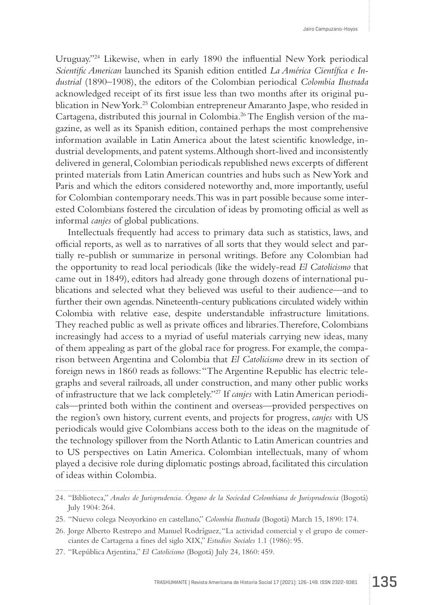Uruguay."24 Likewise, when in early 1890 the influential New York periodical *Scientific American* launched its Spanish edition entitled *La América Científica e Industrial* (1890–1908), the editors of the Colombian periodical *Colombia Ilustrada*  acknowledged receipt of its first issue less than two months after its original publication in New York.25 Colombian entrepreneur Amaranto Jaspe, who resided in Cartagena, distributed this journal in Colombia.26 The English version of the magazine, as well as its Spanish edition, contained perhaps the most comprehensive information available in Latin America about the latest scientific knowledge, industrial developments, and patent systems. Although short-lived and inconsistently delivered in general, Colombian periodicals republished news excerpts of different printed materials from Latin American countries and hubs such as New York and Paris and which the editors considered noteworthy and, more importantly, useful for Colombian contemporary needs. This was in part possible because some interested Colombians fostered the circulation of ideas by promoting official as well as informal *canjes* of global publications.

Intellectuals frequently had access to primary data such as statistics, laws, and official reports, as well as to narratives of all sorts that they would select and partially re-publish or summarize in personal writings. Before any Colombian had the opportunity to read local periodicals (like the widely-read *El Catolicismo* that came out in 1849), editors had already gone through dozens of international publications and selected what they believed was useful to their audience—and to further their own agendas. Nineteenth-century publications circulated widely within Colombia with relative ease, despite understandable infrastructure limitations. They reached public as well as private offices and libraries. Therefore, Colombians increasingly had access to a myriad of useful materials carrying new ideas, many of them appealing as part of the global race for progress. For example, the comparison between Argentina and Colombia that *El Catolicismo* drew in its section of foreign news in 1860 reads as follows: "The Argentine Republic has electric telegraphs and several railroads, all under construction, and many other public works of infrastructure that we lack completely."27 If *canjes* with Latin American periodicals—printed both within the continent and overseas—provided perspectives on the region's own history, current events, and projects for progress, *canjes* with US periodicals would give Colombians access both to the ideas on the magnitude of the technology spillover from the North Atlantic to Latin American countries and to US perspectives on Latin America. Colombian intellectuals, many of whom played a decisive role during diplomatic postings abroad, facilitated this circulation of ideas within Colombia.

<sup>24.</sup> "Biblioteca," *Anales de Jurisprudencia. Órgano de la Sociedad Colombiana de Jurisprudencia* (Bogotá) July 1904: 264.

<sup>25.</sup> "Nuevo colega Neoyorkino en castellano," *Colombia Ilustrada* (Bogotá) March 15, 1890: 174.

<sup>26.</sup> Jorge Alberto Restrepo and Manuel Rodríguez, "La actividad comercial y el grupo de comerciantes de Cartagena a fines del siglo XIX," *Estudios Sociales* 1.1 (1986): 95.

<sup>27.</sup> "República Arjentina," *El Catolicismo* (Bogotá) July 24, 1860: 459.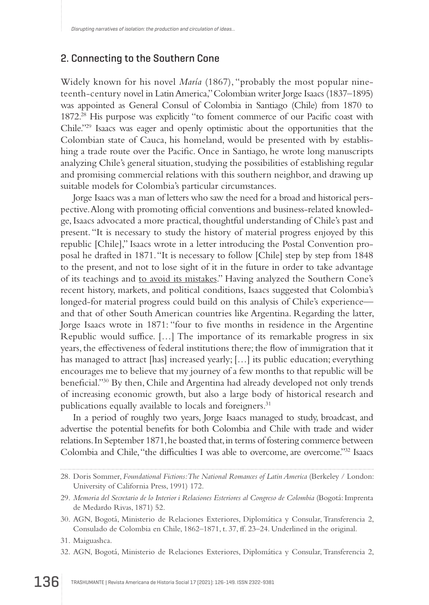## 2. Connecting to the Southern Cone

Widely known for his novel *María* (1867), "probably the most popular nineteenth-century novel in Latin America," Colombian writer Jorge Isaacs (1837–1895) was appointed as General Consul of Colombia in Santiago (Chile) from 1870 to 1872.28 His purpose was explicitly "to foment commerce of our Pacific coast with Chile."29 Isaacs was eager and openly optimistic about the opportunities that the Colombian state of Cauca, his homeland, would be presented with by establishing a trade route over the Pacific. Once in Santiago, he wrote long manuscripts analyzing Chile's general situation, studying the possibilities of establishing regular and promising commercial relations with this southern neighbor, and drawing up suitable models for Colombia's particular circumstances.

Jorge Isaacs was a man of letters who saw the need for a broad and historical perspective. Along with promoting official conventions and business-related knowledge, Isaacs advocated a more practical, thoughtful understanding of Chile's past and present. "It is necessary to study the history of material progress enjoyed by this republic [Chile]," Isaacs wrote in a letter introducing the Postal Convention proposal he drafted in 1871. "It is necessary to follow [Chile] step by step from 1848 to the present, and not to lose sight of it in the future in order to take advantage of its teachings and to avoid its mistakes." Having analyzed the Southern Cone's recent history, markets, and political conditions, Isaacs suggested that Colombia's longed-for material progress could build on this analysis of Chile's experience and that of other South American countries like Argentina. Regarding the latter, Jorge Isaacs wrote in 1871: "four to five months in residence in the Argentine Republic would suffice. […] The importance of its remarkable progress in six years, the effectiveness of federal institutions there; the flow of immigration that it has managed to attract [has] increased yearly; […] its public education; everything encourages me to believe that my journey of a few months to that republic will be beneficial."30 By then, Chile and Argentina had already developed not only trends of increasing economic growth, but also a large body of historical research and publications equally available to locals and foreigners.<sup>31</sup>

In a period of roughly two years, Jorge Isaacs managed to study, broadcast, and advertise the potential benefits for both Colombia and Chile with trade and wider relations. In September 1871, he boasted that, in terms of fostering commerce between Colombia and Chile, "the difficulties I was able to overcome, are overcome."32 Isaacs

30. AGN, Bogotá, Ministerio de Relaciones Exteriores, Diplomática y Consular, Transferencia 2, Consulado de Colombia en Chile, 1862–1871, t. 37, ff. 23–24. Underlined in the original.

31. Maiguashca.

32. AGN, Bogotá, Ministerio de Relaciones Exteriores, Diplomática y Consular, Transferencia 2,

<sup>28.</sup> Doris Sommer, *Foundational Fictions: The National Romances of Latin America* (Berkeley / London: University of California Press, 1991) 172.

<sup>29.</sup> *Memoria del Secretario de lo Interior i Relaciones Esteriores al Congreso de Colombia* (Bogotá: Imprenta de Medardo Rivas, 1871) 52.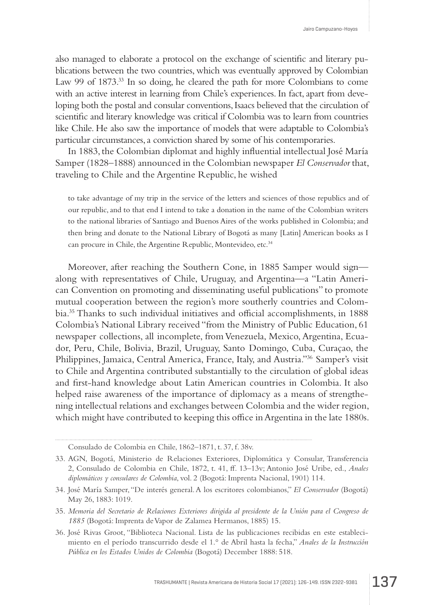also managed to elaborate a protocol on the exchange of scientific and literary publications between the two countries, which was eventually approved by Colombian Law 99 of 1873.33 In so doing, he cleared the path for more Colombians to come with an active interest in learning from Chile's experiences. In fact, apart from developing both the postal and consular conventions, Isaacs believed that the circulation of scientific and literary knowledge was critical if Colombia was to learn from countries like Chile. He also saw the importance of models that were adaptable to Colombia's particular circumstances, a conviction shared by some of his contemporaries.

In 1883, the Colombian diplomat and highly influential intellectual José María Samper (1828–1888) announced in the Colombian newspaper *El Conservador* that, traveling to Chile and the Argentine Republic, he wished

to take advantage of my trip in the service of the letters and sciences of those republics and of our republic, and to that end I intend to take a donation in the name of the Colombian writers to the national libraries of Santiago and Buenos Aires of the works published in Colombia; and then bring and donate to the National Library of Bogotá as many [Latin] American books as I can procure in Chile, the Argentine Republic, Montevideo, etc.<sup>34</sup>

Moreover, after reaching the Southern Cone, in 1885 Samper would sign along with representatives of Chile, Uruguay, and Argentina—a "Latin American Convention on promoting and disseminating useful publications" to promote mutual cooperation between the region's more southerly countries and Colombia.35 Thanks to such individual initiatives and official accomplishments, in 1888 Colombia's National Library received "from the Ministry of Public Education, 61 newspaper collections, all incomplete, from Venezuela, Mexico, Argentina, Ecuador, Peru, Chile, Bolivia, Brazil, Uruguay, Santo Domingo, Cuba, Curaçao, the Philippines, Jamaica, Central America, France, Italy, and Austria."36 Samper's visit to Chile and Argentina contributed substantially to the circulation of global ideas and first-hand knowledge about Latin American countries in Colombia. It also helped raise awareness of the importance of diplomacy as a means of strengthening intellectual relations and exchanges between Colombia and the wider region, which might have contributed to keeping this office in Argentina in the late 1880s.

Consulado de Colombia en Chile, 1862–1871, t. 37, f. 38v.

35. *Memoria del Secretario de Relaciones Exteriores dirigida al presidente de la Unión para el Congreso de 1885* (Bogotá: Imprenta de Vapor de Zalamea Hermanos, 1885) 15.

<sup>33.</sup> AGN, Bogotá, Ministerio de Relaciones Exteriores, Diplomática y Consular, Transferencia 2, Consulado de Colombia en Chile, 1872, t. 41, ff. 13–13v; Antonio José Uribe, ed., *Anales diplomáticos y consulares de Colombia*, vol. 2 (Bogotá: Imprenta Nacional, 1901) 114.

<sup>34.</sup> José María Samper, "De interés general. A los escritores colombianos," *El Conservador* (Bogotá) May 26, 1883: 1019.

<sup>36.</sup> José Rivas Groot, "Biblioteca Nacional. Lista de las publicaciones recibidas en este establecimiento en el período transcurrido desde el 1.° de Abril hasta la fecha," *Anales de la Instrucción Pública en los Estados Unidos de Colombia* (Bogotá) December 1888: 518.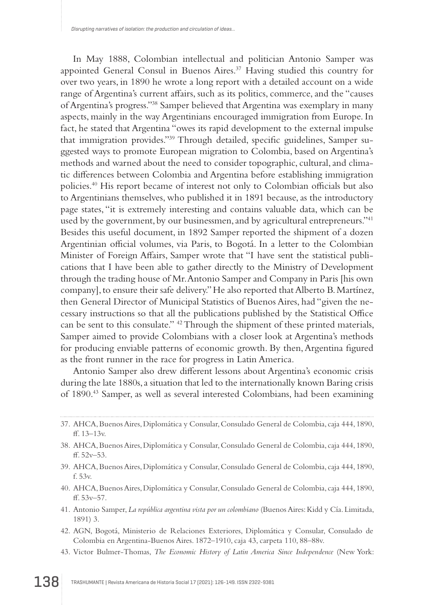In May 1888, Colombian intellectual and politician Antonio Samper was appointed General Consul in Buenos Aires.<sup>37</sup> Having studied this country for over two years, in 1890 he wrote a long report with a detailed account on a wide range of Argentina's current affairs, such as its politics, commerce, and the "causes of Argentina's progress."38 Samper believed that Argentina was exemplary in many aspects, mainly in the way Argentinians encouraged immigration from Europe. In fact, he stated that Argentina "owes its rapid development to the external impulse that immigration provides."39 Through detailed, specific guidelines, Samper suggested ways to promote European migration to Colombia, based on Argentina's methods and warned about the need to consider topographic, cultural, and climatic differences between Colombia and Argentina before establishing immigration policies.40 His report became of interest not only to Colombian officials but also to Argentinians themselves, who published it in 1891 because, as the introductory page states, "it is extremely interesting and contains valuable data, which can be used by the government, by our businessmen, and by agricultural entrepreneurs."<sup>41</sup> Besides this useful document, in 1892 Samper reported the shipment of a dozen Argentinian official volumes, via Paris, to Bogotá. In a letter to the Colombian Minister of Foreign Affairs, Samper wrote that "I have sent the statistical publications that I have been able to gather directly to the Ministry of Development through the trading house of Mr. Antonio Samper and Company in Paris [his own company], to ensure their safe delivery." He also reported that Alberto B. Martínez, then General Director of Municipal Statistics of Buenos Aires, had "given the necessary instructions so that all the publications published by the Statistical Office can be sent to this consulate." 42 Through the shipment of these printed materials, Samper aimed to provide Colombians with a closer look at Argentina's methods for producing enviable patterns of economic growth. By then, Argentina figured as the front runner in the race for progress in Latin America.

Antonio Samper also drew different lessons about Argentina's economic crisis during the late 1880s, a situation that led to the internationally known Baring crisis of 1890.43 Samper, as well as several interested Colombians, had been examining

- 39. AHCA, Buenos Aires, Diplomática y Consular, Consulado General de Colombia, caja 444, 1890, f. 53v.
- 40. AHCA, Buenos Aires, Diplomática y Consular, Consulado General de Colombia, caja 444, 1890, ff. 53v–57.
- 41. Antonio Samper, *La república argentina vista por un colombiano* (Buenos Aires: Kidd y Cía. Limitada, 1891) 3.
- 42. AGN, Bogotá, Ministerio de Relaciones Exteriores, Diplomática y Consular, Consulado de Colombia en Argentina-Buenos Aires. 1872–1910, caja 43, carpeta 110, 88–88v.
- 43. Victor Bulmer-Thomas, *The Economic History of Latin America Since Independence* (New York:

<sup>37.</sup> AHCA, Buenos Aires, Diplomática y Consular, Consulado General de Colombia, caja 444, 1890, ff. 13–13v.

<sup>38.</sup> AHCA, Buenos Aires, Diplomática y Consular, Consulado General de Colombia, caja 444, 1890, ff. 52v–53.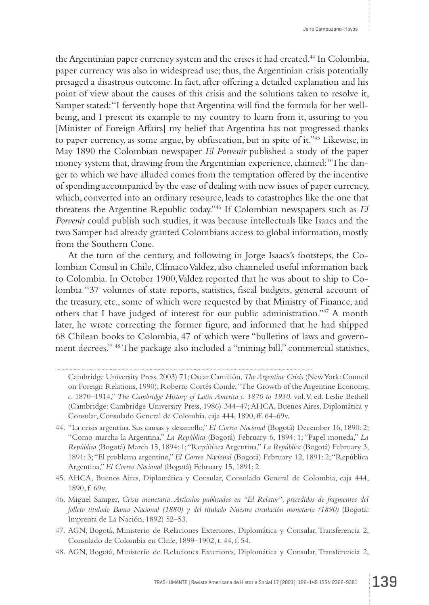the Argentinian paper currency system and the crises it had created.<sup>44</sup> In Colombia, paper currency was also in widespread use; thus, the Argentinian crisis potentially presaged a disastrous outcome. In fact, after offering a detailed explanation and his point of view about the causes of this crisis and the solutions taken to resolve it, Samper stated: "I fervently hope that Argentina will find the formula for her wellbeing, and I present its example to my country to learn from it, assuring to you [Minister of Foreign Affairs] my belief that Argentina has not progressed thanks to paper currency, as some argue, by obfuscation, but in spite of it."45 Likewise, in May 1890 the Colombian newspaper *El Porvenir* published a study of the paper money system that, drawing from the Argentinian experience, claimed: "The danger to which we have alluded comes from the temptation offered by the incentive of spending accompanied by the ease of dealing with new issues of paper currency, which, converted into an ordinary resource, leads to catastrophes like the one that threatens the Argentine Republic today."46 If Colombian newspapers such as *El Porvenir* could publish such studies, it was because intellectuals like Isaacs and the two Samper had already granted Colombians access to global information, mostly from the Southern Cone.

At the turn of the century, and following in Jorge Isaacs's footsteps, the Colombian Consul in Chile, Clímaco Valdez, also channeled useful information back to Colombia. In October 1900, Valdez reported that he was about to ship to Colombia "37 volumes of state reports, statistics, fiscal budgets, general account of the treasury, etc., some of which were requested by that Ministry of Finance, and others that I have judged of interest for our public administration."47 A month later, he wrote correcting the former figure, and informed that he had shipped 68 Chilean books to Colombia, 47 of which were "bulletins of laws and government decrees." 48 The package also included a "mining bill," commercial statistics,

- 44. "La crisis argentina. Sus causas y desarrollo," *El Correo Nacional* (Bogotá) December 16, 1890: 2; "Como marcha la Argentina," *La República* (Bogotá) February 6, 1894: 1; "Papel moneda," *La República* (Bogotá) March 15, 1894: 1; "República Argentina," *La República* (Bogotá) February 3, 1891: 3; "El problema argentino," *El Correo Nacional* (Bogotá) February 12, 1891: 2; "República Argentina," *El Correo Nacional* (Bogotá) February 15, 1891: 2.
- 45. AHCA, Buenos Aires, Diplomática y Consular, Consulado General de Colombia, caja 444, 1890, f. 69v.
- 46. Miguel Samper, *Crisis monetaria. Artículos publicados en "El Relator", precedidos de fragmentos del folleto titulado Banco Nacional (1880) y del titulado Nuestra circulación monetaria (1890)* (Bogotá: Imprenta de La Nación, 1892) 52–53.
- 47. AGN, Bogotá, Ministerio de Relaciones Exteriores, Diplomática y Consular, Transferencia 2, Consulado de Colombia en Chile, 1899–1902, t. 44, f. 54.
- 48. AGN, Bogotá, Ministerio de Relaciones Exteriores, Diplomática y Consular, Transferencia 2,

Cambridge University Press, 2003) 71; Oscar Camilión, *The Argentine Crisis* (New York: Council on Foreign Relations, 1990); Roberto Cortés Conde, "The Growth of the Argentine Economy, *c.* 1870–1914," *The Cambridge History of Latin America c. 1870 to 1930*, vol. V, ed. Leslie Bethell (Cambridge: Cambridge University Press, 1986) 344–47; AHCA, Buenos Aires, Diplomática y Consular, Consulado General de Colombia, caja 444, 1890, ff. 64–69v.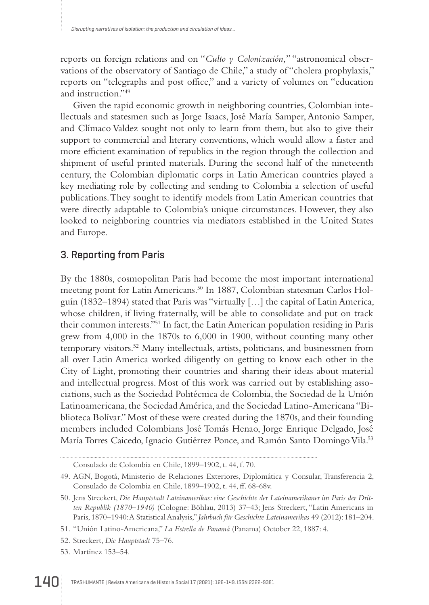reports on foreign relations and on "*Culto y Colonización,*" "astronomical observations of the observatory of Santiago de Chile," a study of "cholera prophylaxis," reports on "telegraphs and post office," and a variety of volumes on "education and instruction."49

Given the rapid economic growth in neighboring countries, Colombian intellectuals and statesmen such as Jorge Isaacs, José María Samper, Antonio Samper, and Clímaco Valdez sought not only to learn from them, but also to give their support to commercial and literary conventions, which would allow a faster and more efficient examination of republics in the region through the collection and shipment of useful printed materials. During the second half of the nineteenth century, the Colombian diplomatic corps in Latin American countries played a key mediating role by collecting and sending to Colombia a selection of useful publications. They sought to identify models from Latin American countries that were directly adaptable to Colombia's unique circumstances. However, they also looked to neighboring countries via mediators established in the United States and Europe.

# 3. Reporting from Paris

By the 1880s, cosmopolitan Paris had become the most important international meeting point for Latin Americans.50 In 1887, Colombian statesman Carlos Holguín (1832–1894) stated that Paris was "virtually […] the capital of Latin America, whose children, if living fraternally, will be able to consolidate and put on track their common interests."51 In fact, the Latin American population residing in Paris grew from 4,000 in the 1870s to 6,000 in 1900, without counting many other temporary visitors.52 Many intellectuals, artists, politicians, and businessmen from all over Latin America worked diligently on getting to know each other in the City of Light, promoting their countries and sharing their ideas about material and intellectual progress. Most of this work was carried out by establishing associations, such as the Sociedad Politécnica de Colombia, the Sociedad de la Unión Latinoamericana, the Sociedad América, and the Sociedad Latino-Americana "Biblioteca Bolívar." Most of these were created during the 1870s, and their founding members included Colombians José Tomás Henao, Jorge Enrique Delgado, José María Torres Caicedo, Ignacio Gutiérrez Ponce, and Ramón Santo Domingo Vila.53

Consulado de Colombia en Chile, 1899–1902, t. 44, f. 70.

<sup>49.</sup> AGN, Bogotá, Ministerio de Relaciones Exteriores, Diplomática y Consular, Transferencia 2, Consulado de Colombia en Chile, 1899–1902, t. 44, ff. 68-68v.

<sup>50.</sup> Jens Streckert, *Die Hauptstadt Lateinamerikas: eine Geschichte der Lateinamerikaner im Paris der Dritten Republik (1870–1940)* (Cologne: Böhlau, 2013) 37–43; Jens Streckert, "Latin Americans in Paris, 1870–1940: A Statistical Analysis," *Jahrbuch für Geschichte Lateinamerikas* 49 (2012): 181–204.

<sup>51.</sup> "Unión Latino-Americana," *La Estrella de Panamá* (Panama) October 22, 1887: 4.

<sup>52.</sup> Streckert, *Die Hauptstadt* 75–76.

<sup>53.</sup> Martínez 153–54.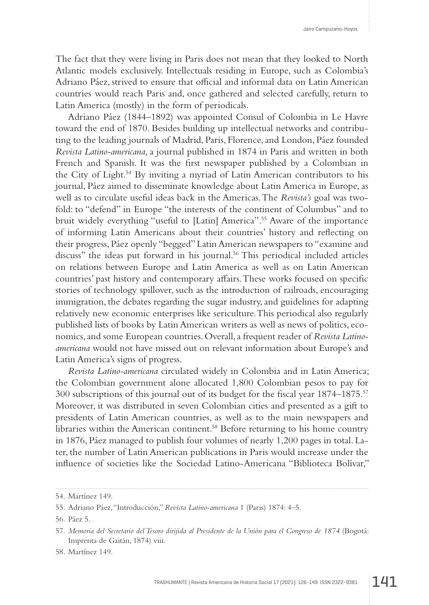The fact that they were living in Paris does not mean that they looked to North Atlantic models exclusively. Intellectuals residing in Europe, such as Colombia's Adriano Páez, strived to ensure that official and informal data on Latin American countries would reach Paris and, once gathered and selected carefully, return to Latin America (mostly) in the form of periodicals.

Adriano Páez (1844–1892) was appointed Consul of Colombia in Le Havre toward the end of 1870. Besides building up intellectual networks and contributing to the leading journals of Madrid, Paris, Florence, and London, Páez founded *Revista Latino-americana*, a journal published in 1874 in Paris and written in both French and Spanish. It was the first newspaper published by a Colombian in the City of Light.54 By inviting a myriad of Latin American contributors to his journal, Páez aimed to disseminate knowledge about Latin America in Europe, as well as to circulate useful ideas back in the Americas. The *Revista's* goal was twofold: to "defend" in Europe "the interests of the continent of Columbus" and to bruit widely everything "useful to [Latin] America".55 Aware of the importance of informing Latin Americans about their countries' history and reflecting on their progress, Páez openly "begged" Latin American newspapers to "examine and discuss" the ideas put forward in his journal.<sup>56</sup> This periodical included articles on relations between Europe and Latin America as well as on Latin American countries' past history and contemporary affairs. These works focused on specific stories of technology spillover, such as the introduction of railroads, encouraging immigration, the debates regarding the sugar industry, and guidelines for adapting relatively new economic enterprises like sericulture. This periodical also regularly published lists of books by Latin American writers as well as news of politics, economics, and some European countries. Overall, a frequent reader of *Revista Latinoamericana* would not have missed out on relevant information about Europe's and Latin America's signs of progress.

*Revista Latino-americana* circulated widely in Colombia and in Latin America; the Colombian government alone allocated 1,800 Colombian pesos to pay for 300 subscriptions of this journal out of its budget for the fiscal year 1874–1875.57 Moreover, it was distributed in seven Colombian cities and presented as a gift to presidents of Latin American countries, as well as to the main newspapers and libraries within the American continent.58 Before returning to his home country in 1876, Páez managed to publish four volumes of nearly 1,200 pages in total. Later, the number of Latin American publications in Paris would increase under the influence of societies like the Sociedad Latino-Americana "Biblioteca Bolívar,"

<sup>54.</sup> Martínez 149.

<sup>55.</sup> Adriano Páez, "Introducción," *Revista Latino-americana* 1 (Paris) 1874: 4–5.

<sup>56.</sup> Páez 5.

<sup>57.</sup> *Memoria del Secretario del Tesoro dirijida al Presidente de la Unión para el Congreso de 1874* (Bogotá: Imprenta de Gaitán, 1874) viii.

<sup>58.</sup> Martínez 149.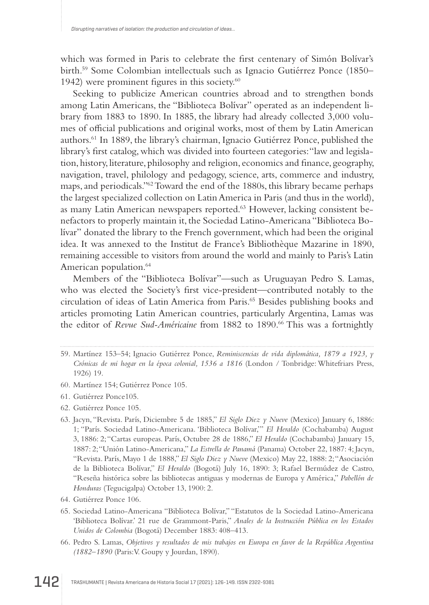which was formed in Paris to celebrate the first centenary of Simón Bolívar's birth.59 Some Colombian intellectuals such as Ignacio Gutiérrez Ponce (1850– 1942) were prominent figures in this society. $60$ 

Seeking to publicize American countries abroad and to strengthen bonds among Latin Americans, the "Biblioteca Bolívar" operated as an independent library from 1883 to 1890. In 1885, the library had already collected 3,000 volumes of official publications and original works, most of them by Latin American authors.61 In 1889, the library's chairman, Ignacio Gutiérrez Ponce, published the library's first catalog, which was divided into fourteen categories: "law and legislation, history, literature, philosophy and religion, economics and finance, geography, navigation, travel, philology and pedagogy, science, arts, commerce and industry, maps, and periodicals."62 Toward the end of the 1880s, this library became perhaps the largest specialized collection on Latin America in Paris (and thus in the world), as many Latin American newspapers reported.<sup>63</sup> However, lacking consistent benefactors to properly maintain it, the Sociedad Latino-Americana "Biblioteca Bolívar" donated the library to the French government, which had been the original idea. It was annexed to the Institut de France's Bibliothèque Mazarine in 1890, remaining accessible to visitors from around the world and mainly to Paris's Latin American population.<sup>64</sup>

Members of the "Biblioteca Bolívar"—such as Uruguayan Pedro S. Lamas, who was elected the Society's first vice-president—contributed notably to the circulation of ideas of Latin America from Paris.65 Besides publishing books and articles promoting Latin American countries, particularly Argentina, Lamas was the editor of *Revue Sud-Américaine* from 1882 to 1890.<sup>66</sup> This was a fortnightly

- 60. Martínez 154; Gutiérrez Ponce 105.
- 61. Gutiérrez Ponce105.
- 62. Gutiérrez Ponce 105.
- 63. Jacyn, "Revista. París, Diciembre 5 de 1885," *El Siglo Diez y Nueve* (Mexico) January 6, 1886: 1; "París. Sociedad Latino-Americana. 'Biblioteca Bolívar,'" *El Heraldo* (Cochabamba) August 3, 1886: 2; "Cartas europeas. París, Octubre 28 de 1886," *El Heraldo* (Cochabamba) January 15, 1887: 2; "Unión Latino-Americana," *La Estrella de Panamá* (Panama) October 22, 1887: 4; Jacyn, "Revista. París, Mayo 1 de 1888," *El Siglo Diez y Nueve* (Mexico) May 22, 1888: 2; "Asociación de la Biblioteca Bolívar," *El Heraldo* (Bogotá) July 16, 1890: 3; Rafael Bermúdez de Castro, "Reseña histórica sobre las bibliotecas antiguas y modernas de Europa y América," *Pabellón de Honduras* (Tegucigalpa) October 13, 1900: 2.
- 64. Gutiérrez Ponce 106.
- 65. Sociedad Latino-Americana "Biblioteca Bolívar," "Estatutos de la Sociedad Latino-Americana 'Biblioteca Bolívar.' 21 rue de Grammont-Paris," *Anales de la Instrucción Pública en los Estados Unidos de Colombia* (Bogotá) December 1883: 408–413.
- 66. Pedro S. Lamas, *Objetivos y resultados de mis trabajos en Europa en favor de la República Argentina (1882–1890* (Paris: V. Goupy y Jourdan, 1890).

<sup>59.</sup> Martínez 153–54; Ignacio Gutiérrez Ponce, *Reminiscencias de vida diplomática, 1879 a 1923, y Crónicas de mi hogar en la época colonial, 1536 a 1816* (London / Tonbridge: Whitefriars Press, 1926) 19.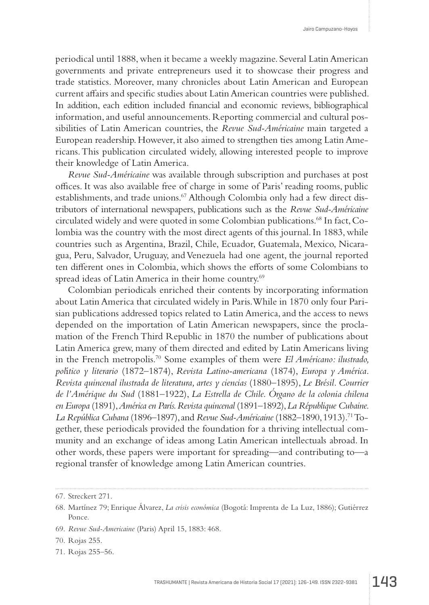periodical until 1888, when it became a weekly magazine. Several Latin American governments and private entrepreneurs used it to showcase their progress and trade statistics. Moreover, many chronicles about Latin American and European current affairs and specific studies about Latin American countries were published. In addition, each edition included financial and economic reviews, bibliographical information, and useful announcements. Reporting commercial and cultural possibilities of Latin American countries, the *Revue Sud-Américaine* main targeted a European readership. However, it also aimed to strengthen ties among Latin Americans. This publication circulated widely, allowing interested people to improve their knowledge of Latin America.

*Revue Sud-Américaine* was available through subscription and purchases at post offices. It was also available free of charge in some of Paris' reading rooms, public establishments, and trade unions.<sup>67</sup> Although Colombia only had a few direct distributors of international newspapers, publications such as the *Revue Sud-Américaine* circulated widely and were quoted in some Colombian publications.68 In fact, Colombia was the country with the most direct agents of this journal. In 1883, while countries such as Argentina, Brazil, Chile, Ecuador, Guatemala, Mexico, Nicaragua, Peru, Salvador, Uruguay, and Venezuela had one agent, the journal reported ten different ones in Colombia, which shows the efforts of some Colombians to spread ideas of Latin America in their home country.<sup>69</sup>

Colombian periodicals enriched their contents by incorporating information about Latin America that circulated widely in Paris. While in 1870 only four Parisian publications addressed topics related to Latin America, and the access to news depended on the importation of Latin American newspapers, since the proclamation of the French Third Republic in 1870 the number of publications about Latin America grew, many of them directed and edited by Latin Americans living in the French metropolis.70 Some examples of them were *El Américano: ilustrado, pol*í*tico y literario* (1872–1874), *Revista Latino-americana* (1874), *Europa y América. Revista quincenal ilustrada de literatura, artes y ciencias* (1880–1895), *Le Brésil. Courrier de l'Amérique du Sud* (1881–1922), *La Estrella de Chile. Órgano de la colonia chilena en Europa* (1891), *América en París. Revista quincenal* (1891–1892), *La République Cubaine. La República Cubana* (1896–1897), and *Revue Sud-Américaine* (1882–1890, 1913).71 Together, these periodicals provided the foundation for a thriving intellectual community and an exchange of ideas among Latin American intellectuals abroad. In other words, these papers were important for spreading—and contributing to—a regional transfer of knowledge among Latin American countries.

71. Rojas 255–56.

<sup>67.</sup> Streckert 271.

<sup>68.</sup> Martínez 79; Enrique Álvarez, *La crisis económica* (Bogotá: Imprenta de La Luz, 1886); Gutiérrez Ponce.

<sup>69.</sup> *Revue Sud-Americaine* (Paris) April 15, 1883: 468.

<sup>70.</sup> Rojas 255.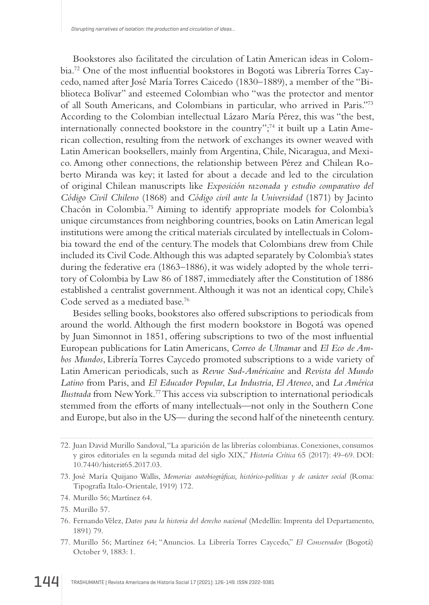Bookstores also facilitated the circulation of Latin American ideas in Colombia.72 One of the most influential bookstores in Bogotá was Librería Torres Caycedo, named after José María Torres Caicedo (1830–1889), a member of the "Biblioteca Bolívar" and esteemed Colombian who "was the protector and mentor of all South Americans, and Colombians in particular, who arrived in Paris."73 According to the Colombian intellectual Lázaro María Pérez, this was "the best, internationally connected bookstore in the country";<sup>74</sup> it built up a Latin American collection, resulting from the network of exchanges its owner weaved with Latin American booksellers, mainly from Argentina, Chile, Nicaragua, and Mexico. Among other connections, the relationship between Pérez and Chilean Roberto Miranda was key; it lasted for about a decade and led to the circulation of original Chilean manuscripts like *Exposición razonada y estudio comparativo del Código Civil Chileno* (1868) and *Código civil ante la Universidad* (1871) by Jacinto Chacón in Colombia.75 Aiming to identify appropriate models for Colombia's unique circumstances from neighboring countries, books on Latin American legal institutions were among the critical materials circulated by intellectuals in Colombia toward the end of the century. The models that Colombians drew from Chile included its Civil Code. Although this was adapted separately by Colombia's states during the federative era (1863–1886), it was widely adopted by the whole territory of Colombia by Law 86 of 1887, immediately after the Constitution of 1886 established a centralist government. Although it was not an identical copy, Chile's Code served as a mediated base.76

Besides selling books, bookstores also offered subscriptions to periodicals from around the world. Although the first modern bookstore in Bogotá was opened by Juan Simonnot in 1851, offering subscriptions to two of the most influential European publications for Latin Americans, *Correo de Ultramar* and *El Eco de Ambos Mundos*, Librería Torres Caycedo promoted subscriptions to a wide variety of Latin American periodicals, such as *Revue Sud-Américaine* and *Revista del Mundo Latino* from Paris, and *El Educador Popular*, *La Industria*, *El Ateneo*, and *La América Ilustrada* from New York.77 This access via subscription to international periodicals stemmed from the efforts of many intellectuals—not only in the Southern Cone and Europe, but also in the US— during the second half of the nineteenth century.

74. Murillo 56; Martínez 64.

- 76. Fernando Vélez, *Datos para la historia del derecho nacional* (Medellín: Imprenta del Departamento, 1891) 79.
- 77. Murillo 56; Martínez 64; "Anuncios. La Librería Torres Caycedo," *El Conservador* (Bogotá) October 9, 1883: 1.

<sup>72.</sup> Juan David Murillo Sandoval, "La aparición de las librerías colombianas. Conexiones, consumos y giros editoriales en la segunda mitad del siglo XIX," *Historia Crítica* 65 (2017): 49–69. DOI: [10.7440/histcrit65.2017.03.](https://doi.org/10.7440/histcrit65.2017.03)

<sup>73.</sup> José María Quijano Wallis, *Memorias autobiográficas, histórico-políticas y de carácter social* (Roma: Tipografía Italo-Orientale, 1919) 172.

<sup>75.</sup> Murillo 57.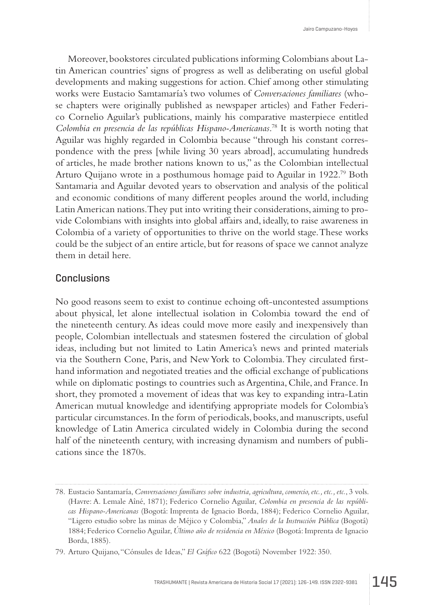Moreover, bookstores circulated publications informing Colombians about Latin American countries' signs of progress as well as deliberating on useful global developments and making suggestions for action. Chief among other stimulating works were Eustacio Samtamaría's two volumes of *Conversaciones familiares* (whose chapters were originally published as newspaper articles) and Father Federico Cornelio Aguilar's publications, mainly his comparative masterpiece entitled *Colombia en presencia de las repúblicas Hispano-Americanas*. 78 It is worth noting that Aguilar was highly regarded in Colombia because "through his constant correspondence with the press [while living 30 years abroad], accumulating hundreds of articles, he made brother nations known to us," as the Colombian intellectual Arturo Quijano wrote in a posthumous homage paid to Aguilar in 1922.<sup>79</sup> Both Santamaria and Aguilar devoted years to observation and analysis of the political and economic conditions of many different peoples around the world, including Latin American nations. They put into writing their considerations, aiming to provide Colombians with insights into global affairs and, ideally, to raise awareness in Colombia of a variety of opportunities to thrive on the world stage. These works could be the subject of an entire article, but for reasons of space we cannot analyze them in detail here.

# **Conclusions**

No good reasons seem to exist to continue echoing oft-uncontested assumptions about physical, let alone intellectual isolation in Colombia toward the end of the nineteenth century. As ideas could move more easily and inexpensively than people, Colombian intellectuals and statesmen fostered the circulation of global ideas, including but not limited to Latin America's news and printed materials via the Southern Cone, Paris, and New York to Colombia. They circulated firsthand information and negotiated treaties and the official exchange of publications while on diplomatic postings to countries such as Argentina, Chile, and France. In short, they promoted a movement of ideas that was key to expanding intra-Latin American mutual knowledge and identifying appropriate models for Colombia's particular circumstances. In the form of periodicals, books, and manuscripts, useful knowledge of Latin America circulated widely in Colombia during the second half of the nineteenth century, with increasing dynamism and numbers of publications since the 1870s.

<sup>78.</sup> Eustacio Santamaría, *Conversaciones familiares sobre industria, agricultura, comercio, etc., etc., etc.*, 3 vols. (Havre: A. Lemale Aîné, 1871); Federico Cornelio Aguilar, *Colombia en presencia de las repúblicas Hispano-Americanas* (Bogotá: Imprenta de Ignacio Borda, 1884); Federico Cornelio Aguilar, "Ligero estudio sobre las minas de Méjico y Colombia," *Anales de la Instrucción Pública* (Bogotá) 1884; Federico Cornelio Aguilar, *Último año de residencia en México* (Bogotá: Imprenta de Ignacio Borda, 1885).

<sup>79.</sup> Arturo Quijano, "Cónsules de Ideas," *El Gráfico* 622 (Bogotá) November 1922: 350.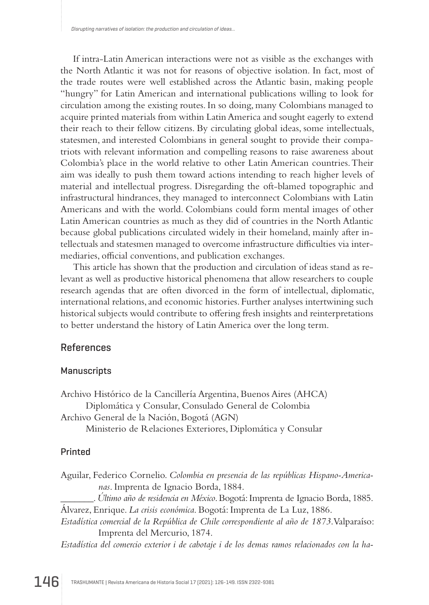If intra-Latin American interactions were not as visible as the exchanges with the North Atlantic it was not for reasons of objective isolation. In fact, most of the trade routes were well established across the Atlantic basin, making people "hungry" for Latin American and international publications willing to look for circulation among the existing routes. In so doing, many Colombians managed to acquire printed materials from within Latin America and sought eagerly to extend their reach to their fellow citizens. By circulating global ideas, some intellectuals, statesmen, and interested Colombians in general sought to provide their compatriots with relevant information and compelling reasons to raise awareness about Colombia's place in the world relative to other Latin American countries. Their aim was ideally to push them toward actions intending to reach higher levels of material and intellectual progress. Disregarding the oft-blamed topographic and infrastructural hindrances, they managed to interconnect Colombians with Latin Americans and with the world. Colombians could form mental images of other Latin American countries as much as they did of countries in the North Atlantic because global publications circulated widely in their homeland, mainly after intellectuals and statesmen managed to overcome infrastructure difficulties via intermediaries, official conventions, and publication exchanges.

This article has shown that the production and circulation of ideas stand as relevant as well as productive historical phenomena that allow researchers to couple research agendas that are often divorced in the form of intellectual, diplomatic, international relations, and economic histories. Further analyses intertwining such historical subjects would contribute to offering fresh insights and reinterpretations to better understand the history of Latin America over the long term.

## References

#### Manuscripts

Archivo Histórico de la Cancillería Argentina, Buenos Aires (AHCA) Diplomática y Consular, Consulado General de Colombia Archivo General de la Nación, Bogotá (AGN) Ministerio de Relaciones Exteriores, Diplomática y Consular

#### Printed

Aguilar, Federico Cornelio. *Colombia en presencia de las repúblicas Hispano-Americanas*. Imprenta de Ignacio Borda, 1884.

\_\_\_\_\_\_\_. *Último año de residencia en México*. Bogotá: Imprenta de Ignacio Borda, 1885. Álvarez, Enrique. *La crisis económica*. Bogotá: Imprenta de La Luz, 1886.

*Estadística comercial de la República de Chile correspondiente al año de 1873*. Valparaíso: Imprenta del Mercurio, 1874.

*Estadística del comercio exterior i de cabotaje i de los demas ramos relacionados con la ha-*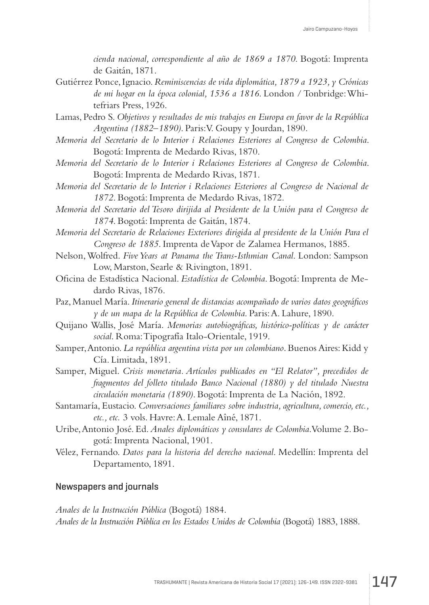*cienda nacional, correspondiente al año de 1869 a 1870*. Bogotá: Imprenta de Gaitán, 1871.

- Gutiérrez Ponce, Ignacio. *Reminiscencias de vida diplomática, 1879 a 1923, y Crónicas de mi hogar en la época colonial, 1536 a 1816*. London / Tonbridge: Whitefriars Press, 1926.
- Lamas, Pedro S. *Objetivos y resultados de mis trabajos en Europa en favor de la República Argentina (1882–1890)*. Paris: V. Goupy y Jourdan, 1890.
- *Memoria del Secretario de lo Interior i Relaciones Esteriores al Congreso de Colombia*. Bogotá: Imprenta de Medardo Rivas, 1870.
- *Memoria del Secretario de lo Interior i Relaciones Esteriores al Congreso de Colombia*. Bogotá: Imprenta de Medardo Rivas, 1871.
- *Memoria del Secretario de lo Interior i Relaciones Esteriores al Congreso de Nacional de 1872*. Bogotá: Imprenta de Medardo Rivas, 1872.
- *Memoria del Secretario del Tesoro dirijida al Presidente de la Unión para el Congreso de 1874*. Bogotá: Imprenta de Gaitán, 1874.
- *Memoria del Secretario de Relaciones Exteriores dirigida al presidente de la Unión Para el Congreso de 1885*. Imprenta de Vapor de Zalamea Hermanos, 1885.
- Nelson, Wolfred. *Five Years at Panama the Trans-Isthmian Canal*. London: Sampson Low, Marston, Searle & Rivington, 1891.
- Oficina de Estadística Nacional. *Estadística de Colombia*. Bogotá: Imprenta de Medardo Rivas, 1876.
- Paz, Manuel María. *Itinerario general de distancias acompañado de varios datos geográficos y de un mapa de la República de Colombia*. Paris: A. Lahure, 1890.
- Quijano Wallis, José María. *Memorias autobiográficas, histórico-políticas y de carácter social*. Roma: Tipografía Italo-Orientale, 1919.
- Samper, Antonio. *La república argentina vista por un colombiano*. Buenos Aires: Kidd y Cía. Limitada, 1891.
- Samper, Miguel. *Crisis monetaria. Artículos publicados en "El Relator", precedidos de fragmentos del folleto titulado Banco Nacional (1880) y del titulado Nuestra circulación monetaria (1890)*. Bogotá: Imprenta de La Nación, 1892.
- Santamaría, Eustacio. *Conversaciones familiares sobre industria, agricultura, comercio, etc., etc., etc.* 3 vols. Havre: A. Lemale Aîné, 1871.
- Uribe, Antonio José. Ed. *Anales diplomáticos y consulares de Colombia*. Volume 2. Bogotá: Imprenta Nacional, 1901.
- Vélez, Fernando. *Datos para la historia del derecho nacional*. Medellín: Imprenta del Departamento, 1891.

## Newspapers and journals

*Anales de la Instrucción Pública* (Bogotá) 1884. *Anales de la Instrucción Pública en los Estados Unidos de Colombia* (Bogotá) 1883, 1888.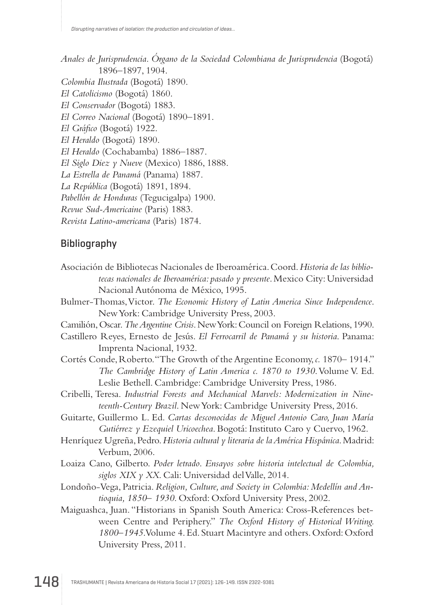*Anales de Jurisprudencia. Órgano de la Sociedad Colombiana de Jurisprudencia* (Bogotá) 1896–1897, 1904.

- *Colombia Ilustrada* (Bogotá) 1890.
- *El Catolicismo* (Bogotá) 1860.
- *El Conservador* (Bogotá) 1883.
- *El Correo Nacional* (Bogotá) 1890–1891.
- *El Gráfico* (Bogotá) 1922.
- *El Heraldo* (Bogotá) 1890.
- *El Heraldo* (Cochabamba) 1886–1887.
- *El Siglo Diez y Nueve* (Mexico) 1886, 1888.
- *La Estrella de Panamá* (Panama) 1887.
- *La República* (Bogotá) 1891, 1894.
- *Pabellón de Honduras* (Tegucigalpa) 1900.
- *Revue Sud-Americaine* (Paris) 1883.
- *Revista Latino-americana* (Paris) 1874.

# Bibliography

- Asociación de Bibliotecas Nacionales de Iberoamérica. Coord. *Historia de las bibliotecas nacionales de Iberoamérica: pasado y presente*. Mexico City: Universidad Nacional Autónoma de México, 1995.
- Bulmer-Thomas, Victor. *The Economic History of Latin America Since Independence*. New York: Cambridge University Press, 2003.
- Camilión, Oscar. *The Argentine Crisis*. New York: Council on Foreign Relations, 1990.
- Castillero Reyes, Ernesto de Jesús. *El Ferrocarril de Panamá y su historia*. Panama: Imprenta Nacional, 1932.
- Cortés Conde, Roberto. "The Growth of the Argentine Economy, *c.* 1870– 1914." *The Cambridge History of Latin America c. 1870 to 1930*. Volume V. Ed. Leslie Bethell. Cambridge: Cambridge University Press, 1986.
- Cribelli, Teresa. *Industrial Forests and Mechanical Marvels: Modernization in Nineteenth-Century Brazil*. New York: Cambridge University Press, 2016.
- Guitarte, Guillermo L. Ed. *Cartas desconocidas de Miguel Antonio Caro, Juan María Gutiérrez y Ezequiel Uricoechea*. Bogotá: Instituto Caro y Cuervo, 1962.
- Henríquez Ugreña, Pedro. *Historia cultural y literaria de la América Hispánica*. Madrid: Verbum, 2006.
- Loaiza Cano, Gilberto. *Poder letrado*. *Ensayos sobre historia intelectual de Colombia, siglos XIX y XX*. Cali: Universidad del Valle, 2014.
- Londoño-Vega, Patricia. *Religion, Culture, and Society in Colombia: Medellín and Antioquia, 1850– 1930*. Oxford: Oxford University Press, 2002.
- Maiguashca, Juan. "Historians in Spanish South America: Cross-References between Centre and Periphery." *The Oxford History of Historical Writing. 1800–1945*. Volume 4. Ed. Stuart Macintyre and others. Oxford: Oxford University Press, 2011.